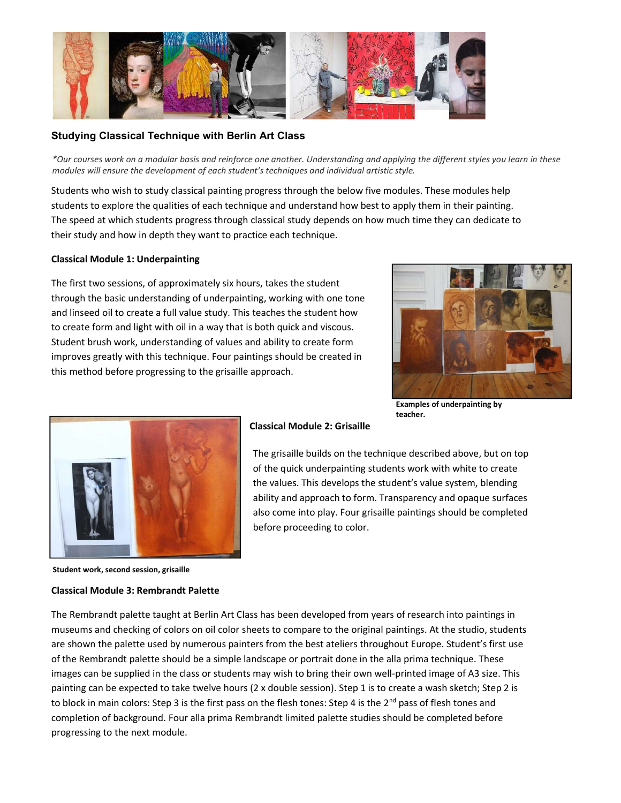

# Studying Classical Technique with Berlin Art Class

\*Our courses work on a modular basis and reinforce one another. Understanding and applying the different styles you learn in these modules will ensure the development of each student's techniques and individual artistic style.

Students who wish to study classical painting progress through the below five modules. These modules help students to explore the qualities of each technique and understand how best to apply them in their painting. The speed at which students progress through classical study depends on how much time they can dedicate to their study and how in depth they want to practice each technique.

### Classical Module 1: Underpainting

The first two sessions, of approximately six hours, takes the student through the basic understanding of underpainting, working with one tone and linseed oil to create a full value study. This teaches the student how to create form and light with oil in a way that is both quick and viscous. Student brush work, understanding of values and ability to create form improves greatly with this technique. Four paintings should be created in this method before progressing to the grisaille approach.



Examples of underpainting by teacher.



### Classical Module 2: Grisaille

The grisaille builds on the technique described above, but on top of the quick underpainting students work with white to create the values. This develops the student's value system, blending ability and approach to form. Transparency and opaque surfaces also come into play. Four grisaille paintings should be completed before proceeding to color.

Student work, second session, grisaille

### Classical Module 3: Rembrandt Palette

The Rembrandt palette taught at Berlin Art Class has been developed from years of research into paintings in museums and checking of colors on oil color sheets to compare to the original paintings. At the studio, students are shown the palette used by numerous painters from the best ateliers throughout Europe. Student's first use of the Rembrandt palette should be a simple landscape or portrait done in the alla prima technique. These images can be supplied in the class or students may wish to bring their own well-printed image of A3 size. This painting can be expected to take twelve hours (2 x double session). Step 1 is to create a wash sketch; Step 2 is to block in main colors: Step 3 is the first pass on the flesh tones: Step 4 is the 2<sup>nd</sup> pass of flesh tones and completion of background. Four alla prima Rembrandt limited palette studies should be completed before progressing to the next module.